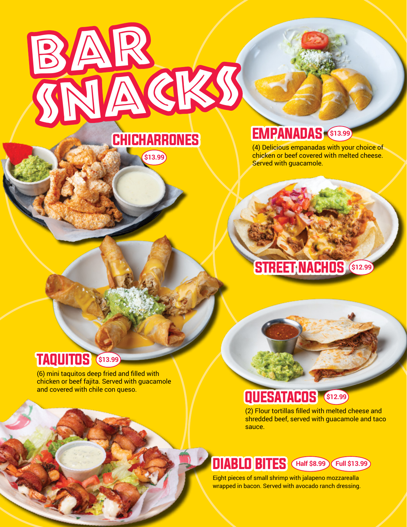

**\$13.99**

## **EMPANADAS**

(4) Delicious empanadas with your choice of chicken or beef covered with melted cheese. Served with guacamole.

# STREET NACHOS **\$12.99**

### TAQUITOS **\$13.99**

(6) mini taquitos deep fried and filled with chicken or beef fajita. Served with guacamole and covered with chile con queso.

# QUESATACOS **\$12.99**

(2) Flour tortillas filled with melted cheese and shredded beef, served with guacamole and taco sauce.

## DIABLO BITES **Half \$8.99 Full \$13.99**

Eight pieces of small shrimp with jalapeno mozzarealla wrapped in bacon. Served with avocado ranch dressing.